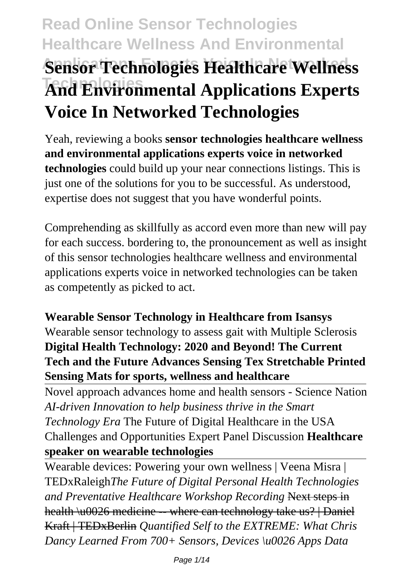# **Read Online Sensor Technologies Healthcare Wellness And Environmental Sensor Technologies Healthcare Wellness And Environmental Applications Experts Voice In Networked Technologies**

Yeah, reviewing a books **sensor technologies healthcare wellness and environmental applications experts voice in networked technologies** could build up your near connections listings. This is just one of the solutions for you to be successful. As understood, expertise does not suggest that you have wonderful points.

Comprehending as skillfully as accord even more than new will pay for each success. bordering to, the pronouncement as well as insight of this sensor technologies healthcare wellness and environmental applications experts voice in networked technologies can be taken as competently as picked to act.

### **Wearable Sensor Technology in Healthcare from Isansys**

Wearable sensor technology to assess gait with Multiple Sclerosis **Digital Health Technology: 2020 and Beyond! The Current Tech and the Future Advances Sensing Tex Stretchable Printed Sensing Mats for sports, wellness and healthcare**

Novel approach advances home and health sensors - Science Nation *AI-driven Innovation to help business thrive in the Smart Technology Era* The Future of Digital Healthcare in the USA Challenges and Opportunities Expert Panel Discussion **Healthcare speaker on wearable technologies**

Wearable devices: Powering your own wellness | Veena Misra | TEDxRaleigh*The Future of Digital Personal Health Technologies and Preventative Healthcare Workshop Recording* Next steps in health \u0026 medicine -- where can technology take us? | Daniel Kraft | TEDxBerlin *Quantified Self to the EXTREME: What Chris Dancy Learned From 700+ Sensors, Devices \u0026 Apps Data*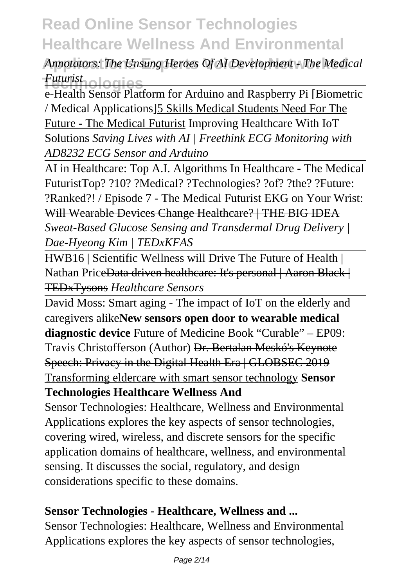Annotators: The Unsung Heroes Of AI Development - The Medical *Futurist* **plogies** 

e-Health Sensor Platform for Arduino and Raspberry Pi [Biometric / Medical Applications]5 Skills Medical Students Need For The Future - The Medical Futurist Improving Healthcare With IoT Solutions *Saving Lives with AI | Freethink ECG Monitoring with AD8232 ECG Sensor and Arduino*

AI in Healthcare: Top A.I. Algorithms In Healthcare - The Medical Futurist<del>Top? ?10? ?Medical? ?Technologies? ?of? ?the? ?Future:</del> ?Ranked?! / Episode 7 - The Medical Futurist EKG on Your Wrist: Will Wearable Devices Change Healthcare? | THE BIG IDEA *Sweat-Based Glucose Sensing and Transdermal Drug Delivery | Dae-Hyeong Kim | TEDxKFAS*

HWB16 | Scientific Wellness will Drive The Future of Health | Nathan PriceData driven healthcare: It's personal | Aaron Black | TEDxTysons *Healthcare Sensors*

David Moss: Smart aging - The impact of IoT on the elderly and caregivers alike**New sensors open door to wearable medical diagnostic device** Future of Medicine Book "Curable" – EP09: Travis Christofferson (Author) Dr. Bertalan Meskó's Keynote Speech: Privacy in the Digital Health Era | GLOBSEC 2019 Transforming eldercare with smart sensor technology **Sensor Technologies Healthcare Wellness And**

Sensor Technologies: Healthcare, Wellness and Environmental Applications explores the key aspects of sensor technologies, covering wired, wireless, and discrete sensors for the specific application domains of healthcare, wellness, and environmental sensing. It discusses the social, regulatory, and design considerations specific to these domains.

#### **Sensor Technologies - Healthcare, Wellness and ...**

Sensor Technologies: Healthcare, Wellness and Environmental Applications explores the key aspects of sensor technologies,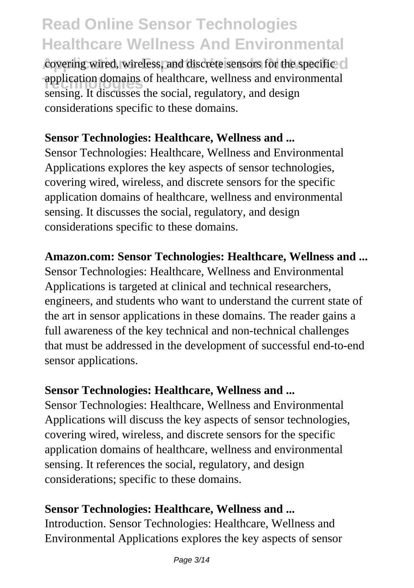covering wired, wireless, and discrete sensors for the specific o application domains of healthcare, wellness and environmental<br>
application It discusses the social negulatory and decise sensing. It discusses the social, regulatory, and design considerations specific to these domains.

#### **Sensor Technologies: Healthcare, Wellness and ...**

Sensor Technologies: Healthcare, Wellness and Environmental Applications explores the key aspects of sensor technologies, covering wired, wireless, and discrete sensors for the specific application domains of healthcare, wellness and environmental sensing. It discusses the social, regulatory, and design considerations specific to these domains.

#### **Amazon.com: Sensor Technologies: Healthcare, Wellness and ...**

Sensor Technologies: Healthcare, Wellness and Environmental Applications is targeted at clinical and technical researchers, engineers, and students who want to understand the current state of the art in sensor applications in these domains. The reader gains a full awareness of the key technical and non-technical challenges that must be addressed in the development of successful end-to-end sensor applications.

#### **Sensor Technologies: Healthcare, Wellness and ...**

Sensor Technologies: Healthcare, Wellness and Environmental Applications will discuss the key aspects of sensor technologies, covering wired, wireless, and discrete sensors for the specific application domains of healthcare, wellness and environmental sensing. It references the social, regulatory, and design considerations; specific to these domains.

#### **Sensor Technologies: Healthcare, Wellness and ...**

Introduction. Sensor Technologies: Healthcare, Wellness and Environmental Applications explores the key aspects of sensor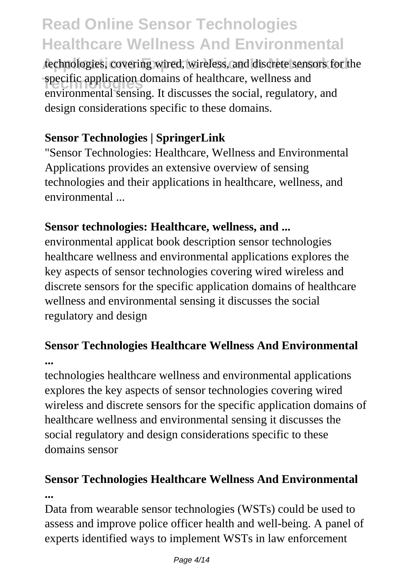technologies, covering wired, wireless, and discrete sensors for the specific application domains of healthcare, wellness and<br>
specific application and the specific applicant environmental sensing. It discusses the social, regulatory, and design considerations specific to these domains.

#### **Sensor Technologies | SpringerLink**

"Sensor Technologies: Healthcare, Wellness and Environmental Applications provides an extensive overview of sensing technologies and their applications in healthcare, wellness, and environmental ...

#### **Sensor technologies: Healthcare, wellness, and ...**

environmental applicat book description sensor technologies healthcare wellness and environmental applications explores the key aspects of sensor technologies covering wired wireless and discrete sensors for the specific application domains of healthcare wellness and environmental sensing it discusses the social regulatory and design

### **Sensor Technologies Healthcare Wellness And Environmental ...**

technologies healthcare wellness and environmental applications explores the key aspects of sensor technologies covering wired wireless and discrete sensors for the specific application domains of healthcare wellness and environmental sensing it discusses the social regulatory and design considerations specific to these domains sensor

### **Sensor Technologies Healthcare Wellness And Environmental ...**

Data from wearable sensor technologies (WSTs) could be used to assess and improve police officer health and well-being. A panel of experts identified ways to implement WSTs in law enforcement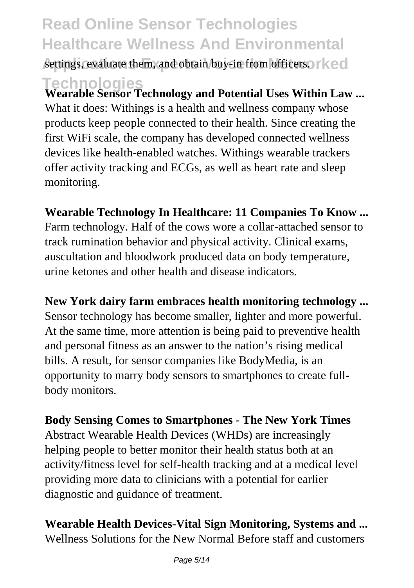settings, evaluate them, and obtain buy-in from officers. **I** ked

**Technologies Wearable Sensor Technology and Potential Uses Within Law ...** What it does: Withings is a health and wellness company whose products keep people connected to their health. Since creating the first WiFi scale, the company has developed connected wellness devices like health-enabled watches. Withings wearable trackers offer activity tracking and ECGs, as well as heart rate and sleep monitoring.

**Wearable Technology In Healthcare: 11 Companies To Know ...** Farm technology. Half of the cows wore a collar-attached sensor to track rumination behavior and physical activity. Clinical exams, auscultation and bloodwork produced data on body temperature, urine ketones and other health and disease indicators.

**New York dairy farm embraces health monitoring technology ...** Sensor technology has become smaller, lighter and more powerful. At the same time, more attention is being paid to preventive health and personal fitness as an answer to the nation's rising medical bills. A result, for sensor companies like BodyMedia, is an opportunity to marry body sensors to smartphones to create fullbody monitors.

**Body Sensing Comes to Smartphones - The New York Times** Abstract Wearable Health Devices (WHDs) are increasingly helping people to better monitor their health status both at an activity/fitness level for self-health tracking and at a medical level providing more data to clinicians with a potential for earlier diagnostic and guidance of treatment.

**Wearable Health Devices-Vital Sign Monitoring, Systems and ...** Wellness Solutions for the New Normal Before staff and customers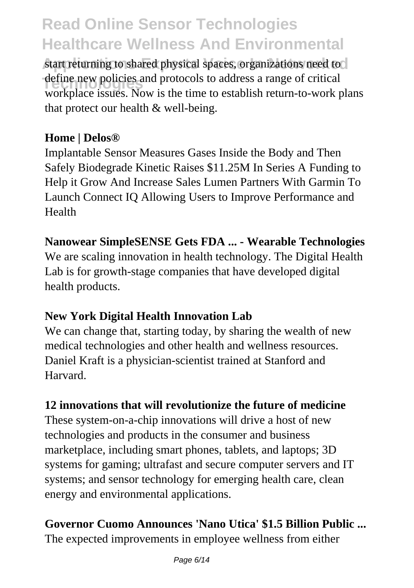start returning to shared physical spaces, organizations need to define new policies and protocols to address a range of critical<br>
new policies and protocols to address a range of critical workplace issues. Now is the time to establish return-to-work plans that protect our health & well-being.

### **Home | Delos®**

Implantable Sensor Measures Gases Inside the Body and Then Safely Biodegrade Kinetic Raises \$11.25M In Series A Funding to Help it Grow And Increase Sales Lumen Partners With Garmin To Launch Connect IQ Allowing Users to Improve Performance and Health

### **Nanowear SimpleSENSE Gets FDA ... - Wearable Technologies**

We are scaling innovation in health technology. The Digital Health Lab is for growth-stage companies that have developed digital health products.

### **New York Digital Health Innovation Lab**

We can change that, starting today, by sharing the wealth of new medical technologies and other health and wellness resources. Daniel Kraft is a physician-scientist trained at Stanford and Harvard.

### **12 innovations that will revolutionize the future of medicine**

These system-on-a-chip innovations will drive a host of new technologies and products in the consumer and business marketplace, including smart phones, tablets, and laptops; 3D systems for gaming; ultrafast and secure computer servers and IT systems; and sensor technology for emerging health care, clean energy and environmental applications.

### **Governor Cuomo Announces 'Nano Utica' \$1.5 Billion Public ...**

The expected improvements in employee wellness from either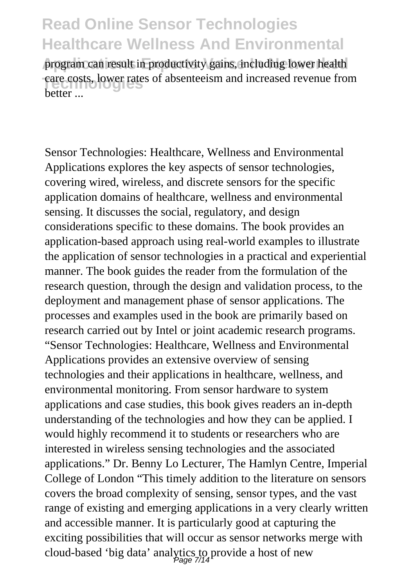program can result in productivity gains, including lower health care costs, lower rates of absenteeism and increased revenue from better ...

Sensor Technologies: Healthcare, Wellness and Environmental Applications explores the key aspects of sensor technologies, covering wired, wireless, and discrete sensors for the specific application domains of healthcare, wellness and environmental sensing. It discusses the social, regulatory, and design considerations specific to these domains. The book provides an application-based approach using real-world examples to illustrate the application of sensor technologies in a practical and experiential manner. The book guides the reader from the formulation of the research question, through the design and validation process, to the deployment and management phase of sensor applications. The processes and examples used in the book are primarily based on research carried out by Intel or joint academic research programs. "Sensor Technologies: Healthcare, Wellness and Environmental Applications provides an extensive overview of sensing technologies and their applications in healthcare, wellness, and environmental monitoring. From sensor hardware to system applications and case studies, this book gives readers an in-depth understanding of the technologies and how they can be applied. I would highly recommend it to students or researchers who are interested in wireless sensing technologies and the associated applications." Dr. Benny Lo Lecturer, The Hamlyn Centre, Imperial College of London "This timely addition to the literature on sensors covers the broad complexity of sensing, sensor types, and the vast range of existing and emerging applications in a very clearly written and accessible manner. It is particularly good at capturing the exciting possibilities that will occur as sensor networks merge with cloud-based 'big data' analytics to provide a host of new Page 7/14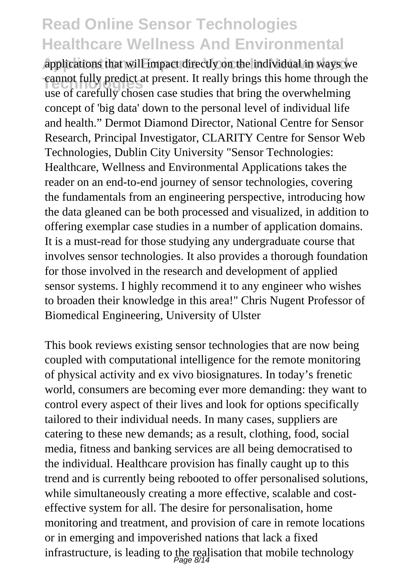applications that will impact directly on the individual in ways we cannot fully predict at present. It really brings this home through the use of carefully chosen case studies that bring the overwhelming concept of 'big data' down to the personal level of individual life and health." Dermot Diamond Director, National Centre for Sensor Research, Principal Investigator, CLARITY Centre for Sensor Web Technologies, Dublin City University "Sensor Technologies: Healthcare, Wellness and Environmental Applications takes the reader on an end-to-end journey of sensor technologies, covering the fundamentals from an engineering perspective, introducing how the data gleaned can be both processed and visualized, in addition to offering exemplar case studies in a number of application domains. It is a must-read for those studying any undergraduate course that involves sensor technologies. It also provides a thorough foundation for those involved in the research and development of applied sensor systems. I highly recommend it to any engineer who wishes to broaden their knowledge in this area!" Chris Nugent Professor of Biomedical Engineering, University of Ulster

This book reviews existing sensor technologies that are now being coupled with computational intelligence for the remote monitoring of physical activity and ex vivo biosignatures. In today's frenetic world, consumers are becoming ever more demanding: they want to control every aspect of their lives and look for options specifically tailored to their individual needs. In many cases, suppliers are catering to these new demands; as a result, clothing, food, social media, fitness and banking services are all being democratised to the individual. Healthcare provision has finally caught up to this trend and is currently being rebooted to offer personalised solutions, while simultaneously creating a more effective, scalable and costeffective system for all. The desire for personalisation, home monitoring and treatment, and provision of care in remote locations or in emerging and impoverished nations that lack a fixed infrastructure, is leading to the realisation that mobile technology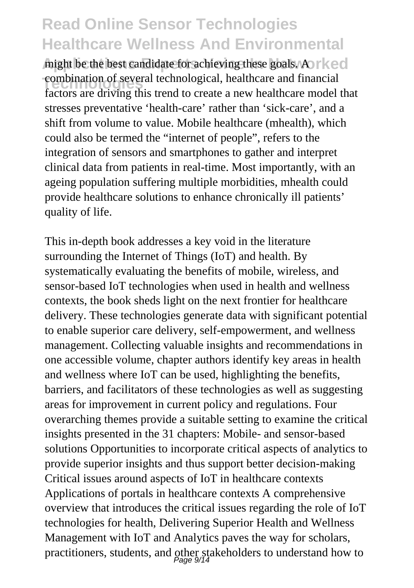might be the best candidate for achieving these goals. A r **ked Technological, healthcare and financial**<br>
combination of several technological, healthcare and financial factors are driving this trend to create a new healthcare model that stresses preventative 'health-care' rather than 'sick-care', and a shift from volume to value. Mobile healthcare (mhealth), which could also be termed the "internet of people", refers to the integration of sensors and smartphones to gather and interpret clinical data from patients in real-time. Most importantly, with an ageing population suffering multiple morbidities, mhealth could provide healthcare solutions to enhance chronically ill patients' quality of life.

This in-depth book addresses a key void in the literature surrounding the Internet of Things (IoT) and health. By systematically evaluating the benefits of mobile, wireless, and sensor-based IoT technologies when used in health and wellness contexts, the book sheds light on the next frontier for healthcare delivery. These technologies generate data with significant potential to enable superior care delivery, self-empowerment, and wellness management. Collecting valuable insights and recommendations in one accessible volume, chapter authors identify key areas in health and wellness where IoT can be used, highlighting the benefits, barriers, and facilitators of these technologies as well as suggesting areas for improvement in current policy and regulations. Four overarching themes provide a suitable setting to examine the critical insights presented in the 31 chapters: Mobile- and sensor-based solutions Opportunities to incorporate critical aspects of analytics to provide superior insights and thus support better decision-making Critical issues around aspects of IoT in healthcare contexts Applications of portals in healthcare contexts A comprehensive overview that introduces the critical issues regarding the role of IoT technologies for health, Delivering Superior Health and Wellness Management with IoT and Analytics paves the way for scholars, practitioners, students, and other stakeholders to understand how to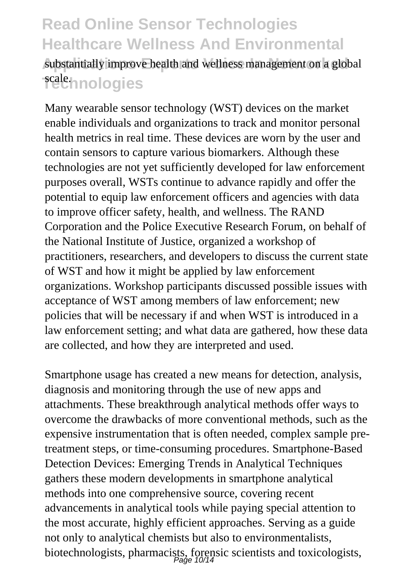substantially improve health and wellness management on a global scale.hnologies

Many wearable sensor technology (WST) devices on the market enable individuals and organizations to track and monitor personal health metrics in real time. These devices are worn by the user and contain sensors to capture various biomarkers. Although these technologies are not yet sufficiently developed for law enforcement purposes overall, WSTs continue to advance rapidly and offer the potential to equip law enforcement officers and agencies with data to improve officer safety, health, and wellness. The RAND Corporation and the Police Executive Research Forum, on behalf of the National Institute of Justice, organized a workshop of practitioners, researchers, and developers to discuss the current state of WST and how it might be applied by law enforcement organizations. Workshop participants discussed possible issues with acceptance of WST among members of law enforcement; new policies that will be necessary if and when WST is introduced in a law enforcement setting; and what data are gathered, how these data are collected, and how they are interpreted and used.

Smartphone usage has created a new means for detection, analysis, diagnosis and monitoring through the use of new apps and attachments. These breakthrough analytical methods offer ways to overcome the drawbacks of more conventional methods, such as the expensive instrumentation that is often needed, complex sample pretreatment steps, or time-consuming procedures. Smartphone-Based Detection Devices: Emerging Trends in Analytical Techniques gathers these modern developments in smartphone analytical methods into one comprehensive source, covering recent advancements in analytical tools while paying special attention to the most accurate, highly efficient approaches. Serving as a guide not only to analytical chemists but also to environmentalists, biotechnologists, pharmacists, forensic scientists and toxicologists, Page 10/14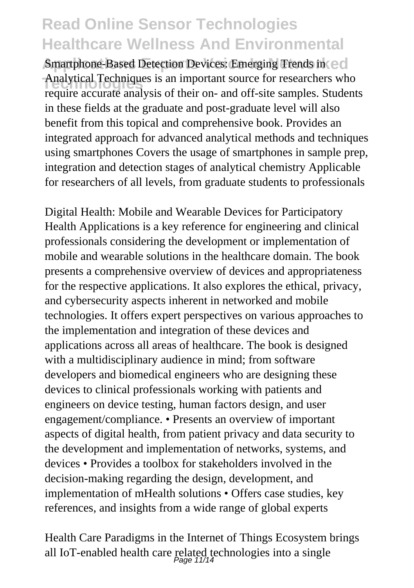Smartphone-Based Detection Devices: Emerging Trends in ed Analytical Techniques is an important source for researchers who require accurate analysis of their on- and off-site samples. Students in these fields at the graduate and post-graduate level will also benefit from this topical and comprehensive book. Provides an integrated approach for advanced analytical methods and techniques using smartphones Covers the usage of smartphones in sample prep, integration and detection stages of analytical chemistry Applicable for researchers of all levels, from graduate students to professionals

Digital Health: Mobile and Wearable Devices for Participatory Health Applications is a key reference for engineering and clinical professionals considering the development or implementation of mobile and wearable solutions in the healthcare domain. The book presents a comprehensive overview of devices and appropriateness for the respective applications. It also explores the ethical, privacy, and cybersecurity aspects inherent in networked and mobile technologies. It offers expert perspectives on various approaches to the implementation and integration of these devices and applications across all areas of healthcare. The book is designed with a multidisciplinary audience in mind; from software developers and biomedical engineers who are designing these devices to clinical professionals working with patients and engineers on device testing, human factors design, and user engagement/compliance. • Presents an overview of important aspects of digital health, from patient privacy and data security to the development and implementation of networks, systems, and devices • Provides a toolbox for stakeholders involved in the decision-making regarding the design, development, and implementation of mHealth solutions • Offers case studies, key references, and insights from a wide range of global experts

Health Care Paradigms in the Internet of Things Ecosystem brings all IoT-enabled health care related technologies into a single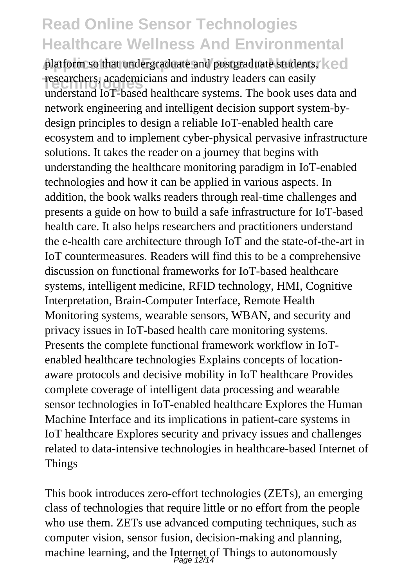platform so that undergraduate and postgraduate students, **Red** researchers, academicians and industry leaders can easily<br>
redenting L<sub>2</sub>T heard healthcan existence. The healthcan understand IoT-based healthcare systems. The book uses data and network engineering and intelligent decision support system-bydesign principles to design a reliable IoT-enabled health care ecosystem and to implement cyber-physical pervasive infrastructure solutions. It takes the reader on a journey that begins with understanding the healthcare monitoring paradigm in IoT-enabled technologies and how it can be applied in various aspects. In addition, the book walks readers through real-time challenges and presents a guide on how to build a safe infrastructure for IoT-based health care. It also helps researchers and practitioners understand the e-health care architecture through IoT and the state-of-the-art in IoT countermeasures. Readers will find this to be a comprehensive discussion on functional frameworks for IoT-based healthcare systems, intelligent medicine, RFID technology, HMI, Cognitive Interpretation, Brain-Computer Interface, Remote Health Monitoring systems, wearable sensors, WBAN, and security and privacy issues in IoT-based health care monitoring systems. Presents the complete functional framework workflow in IoTenabled healthcare technologies Explains concepts of locationaware protocols and decisive mobility in IoT healthcare Provides complete coverage of intelligent data processing and wearable sensor technologies in IoT-enabled healthcare Explores the Human Machine Interface and its implications in patient-care systems in IoT healthcare Explores security and privacy issues and challenges related to data-intensive technologies in healthcare-based Internet of Things

This book introduces zero-effort technologies (ZETs), an emerging class of technologies that require little or no effort from the people who use them. ZETs use advanced computing techniques, such as computer vision, sensor fusion, decision-making and planning, machine learning, and the Internet of Things to autonomously Page 12/14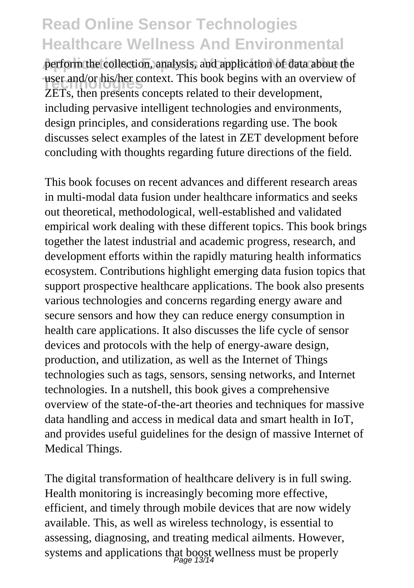perform the collection, analysis, and application of data about the user and/or his/her context. This book begins with an overview of ZETs, then presents concepts related to their development, including pervasive intelligent technologies and environments, design principles, and considerations regarding use. The book discusses select examples of the latest in ZET development before concluding with thoughts regarding future directions of the field.

This book focuses on recent advances and different research areas in multi-modal data fusion under healthcare informatics and seeks out theoretical, methodological, well-established and validated empirical work dealing with these different topics. This book brings together the latest industrial and academic progress, research, and development efforts within the rapidly maturing health informatics ecosystem. Contributions highlight emerging data fusion topics that support prospective healthcare applications. The book also presents various technologies and concerns regarding energy aware and secure sensors and how they can reduce energy consumption in health care applications. It also discusses the life cycle of sensor devices and protocols with the help of energy-aware design, production, and utilization, as well as the Internet of Things technologies such as tags, sensors, sensing networks, and Internet technologies. In a nutshell, this book gives a comprehensive overview of the state-of-the-art theories and techniques for massive data handling and access in medical data and smart health in IoT, and provides useful guidelines for the design of massive Internet of Medical Things.

The digital transformation of healthcare delivery is in full swing. Health monitoring is increasingly becoming more effective, efficient, and timely through mobile devices that are now widely available. This, as well as wireless technology, is essential to assessing, diagnosing, and treating medical ailments. However, systems and applications that boost wellness must be properly